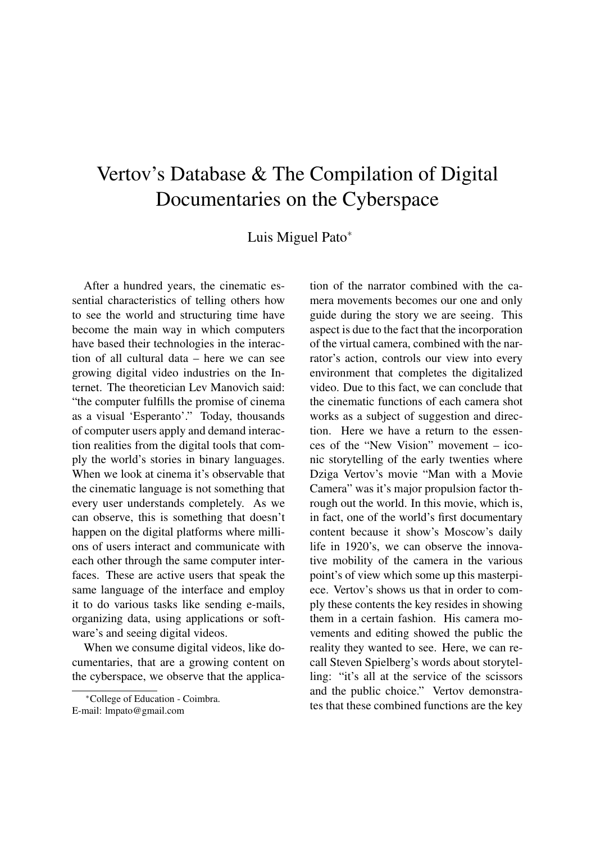## Vertov's Database & The Compilation of Digital Documentaries on the Cyberspace

Luis Miguel Pato<sup>∗</sup>

After a hundred years, the cinematic essential characteristics of telling others how to see the world and structuring time have become the main way in which computers have based their technologies in the interaction of all cultural data – here we can see growing digital video industries on the Internet. The theoretician Lev Manovich said: "the computer fulfills the promise of cinema as a visual 'Esperanto'." Today, thousands of computer users apply and demand interaction realities from the digital tools that comply the world's stories in binary languages. When we look at cinema it's observable that the cinematic language is not something that every user understands completely. As we can observe, this is something that doesn't happen on the digital platforms where millions of users interact and communicate with each other through the same computer interfaces. These are active users that speak the same language of the interface and employ it to do various tasks like sending e-mails, organizing data, using applications or software's and seeing digital videos.

When we consume digital videos, like documentaries, that are a growing content on the cyberspace, we observe that the applica-

tion of the narrator combined with the camera movements becomes our one and only guide during the story we are seeing. This aspect is due to the fact that the incorporation of the virtual camera, combined with the narrator's action, controls our view into every environment that completes the digitalized video. Due to this fact, we can conclude that the cinematic functions of each camera shot works as a subject of suggestion and direction. Here we have a return to the essences of the "New Vision" movement – iconic storytelling of the early twenties where Dziga Vertov's movie "Man with a Movie Camera" was it's major propulsion factor through out the world. In this movie, which is, in fact, one of the world's first documentary content because it show's Moscow's daily life in 1920's, we can observe the innovative mobility of the camera in the various point's of view which some up this masterpiece. Vertov's shows us that in order to comply these contents the key resides in showing them in a certain fashion. His camera movements and editing showed the public the reality they wanted to see. Here, we can recall Steven Spielberg's words about storytelling: "it's all at the service of the scissors and the public choice." Vertov demonstrates that these combined functions are the key

<sup>∗</sup>College of Education - Coimbra. E-mail: lmpato@gmail.com